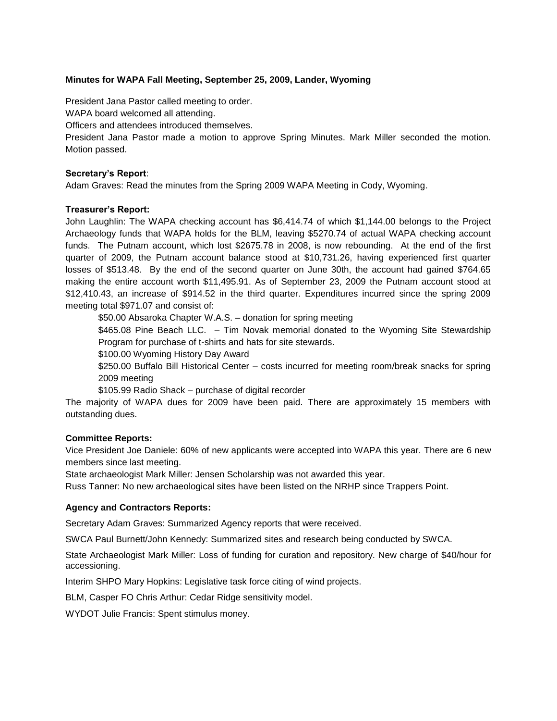# **Minutes for WAPA Fall Meeting, September 25, 2009, Lander, Wyoming**

President Jana Pastor called meeting to order.

WAPA board welcomed all attending.

Officers and attendees introduced themselves.

President Jana Pastor made a motion to approve Spring Minutes. Mark Miller seconded the motion. Motion passed.

## **Secretary's Report**:

Adam Graves: Read the minutes from the Spring 2009 WAPA Meeting in Cody, Wyoming.

## **Treasurer's Report:**

John Laughlin: The WAPA checking account has \$6,414.74 of which \$1,144.00 belongs to the Project Archaeology funds that WAPA holds for the BLM, leaving \$5270.74 of actual WAPA checking account funds. The Putnam account, which lost \$2675.78 in 2008, is now rebounding. At the end of the first quarter of 2009, the Putnam account balance stood at \$10,731.26, having experienced first quarter losses of \$513.48. By the end of the second quarter on June 30th, the account had gained \$764.65 making the entire account worth \$11,495.91. As of September 23, 2009 the Putnam account stood at \$12,410.43, an increase of \$914.52 in the third quarter. Expenditures incurred since the spring 2009 meeting total \$971.07 and consist of:

\$50.00 Absaroka Chapter W.A.S. – donation for spring meeting

\$465.08 Pine Beach LLC. - Tim Novak memorial donated to the Wyoming Site Stewardship Program for purchase of t-shirts and hats for site stewards.

\$100.00 Wyoming History Day Award

\$250.00 Buffalo Bill Historical Center – costs incurred for meeting room/break snacks for spring 2009 meeting

\$105.99 Radio Shack – purchase of digital recorder

The majority of WAPA dues for 2009 have been paid. There are approximately 15 members with outstanding dues.

## **Committee Reports:**

Vice President Joe Daniele: 60% of new applicants were accepted into WAPA this year. There are 6 new members since last meeting.

State archaeologist Mark Miller: Jensen Scholarship was not awarded this year.

Russ Tanner: No new archaeological sites have been listed on the NRHP since Trappers Point.

## **Agency and Contractors Reports:**

Secretary Adam Graves: Summarized Agency reports that were received.

SWCA Paul Burnett/John Kennedy: Summarized sites and research being conducted by SWCA.

State Archaeologist Mark Miller: Loss of funding for curation and repository. New charge of \$40/hour for accessioning.

Interim SHPO Mary Hopkins: Legislative task force citing of wind projects.

BLM, Casper FO Chris Arthur: Cedar Ridge sensitivity model.

WYDOT Julie Francis: Spent stimulus money.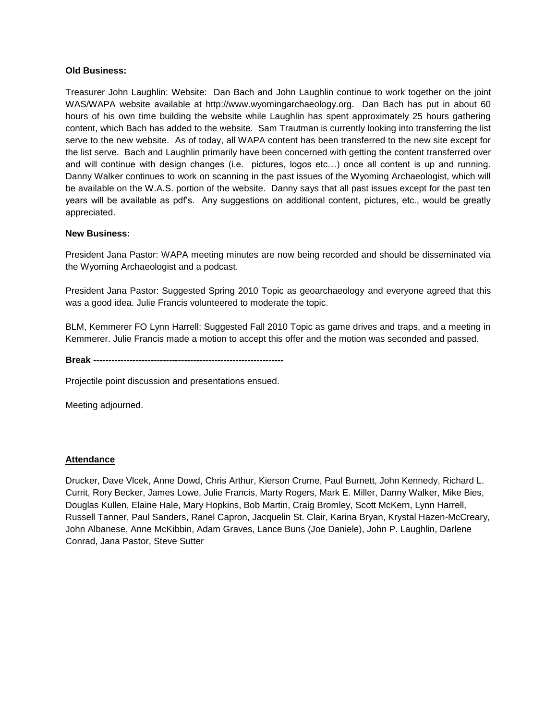## **Old Business:**

Treasurer John Laughlin: Website: Dan Bach and John Laughlin continue to work together on the joint WAS/WAPA website available at http://www.wyomingarchaeology.org. Dan Bach has put in about 60 hours of his own time building the website while Laughlin has spent approximately 25 hours gathering content, which Bach has added to the website. Sam Trautman is currently looking into transferring the list serve to the new website. As of today, all WAPA content has been transferred to the new site except for the list serve. Bach and Laughlin primarily have been concerned with getting the content transferred over and will continue with design changes (i.e. pictures, logos etc…) once all content is up and running. Danny Walker continues to work on scanning in the past issues of the Wyoming Archaeologist, which will be available on the W.A.S. portion of the website. Danny says that all past issues except for the past ten years will be available as pdf"s. Any suggestions on additional content, pictures, etc., would be greatly appreciated.

# **New Business:**

President Jana Pastor: WAPA meeting minutes are now being recorded and should be disseminated via the Wyoming Archaeologist and a podcast.

President Jana Pastor: Suggested Spring 2010 Topic as geoarchaeology and everyone agreed that this was a good idea. Julie Francis volunteered to moderate the topic.

BLM, Kemmerer FO Lynn Harrell: Suggested Fall 2010 Topic as game drives and traps, and a meeting in Kemmerer. Julie Francis made a motion to accept this offer and the motion was seconded and passed.

**Break ---------------------------------------------------------------**

Projectile point discussion and presentations ensued.

Meeting adjourned.

## **Attendance**

Drucker, Dave Vlcek, Anne Dowd, Chris Arthur, Kierson Crume, Paul Burnett, John Kennedy, Richard L. Currit, Rory Becker, James Lowe, Julie Francis, Marty Rogers, Mark E. Miller, Danny Walker, Mike Bies, Douglas Kullen, Elaine Hale, Mary Hopkins, Bob Martin, Craig Bromley, Scott McKern, Lynn Harrell, Russell Tanner, Paul Sanders, Ranel Capron, Jacquelin St. Clair, Karina Bryan, Krystal Hazen-McCreary, John Albanese, Anne McKibbin, Adam Graves, Lance Buns (Joe Daniele), John P. Laughlin, Darlene Conrad, Jana Pastor, Steve Sutter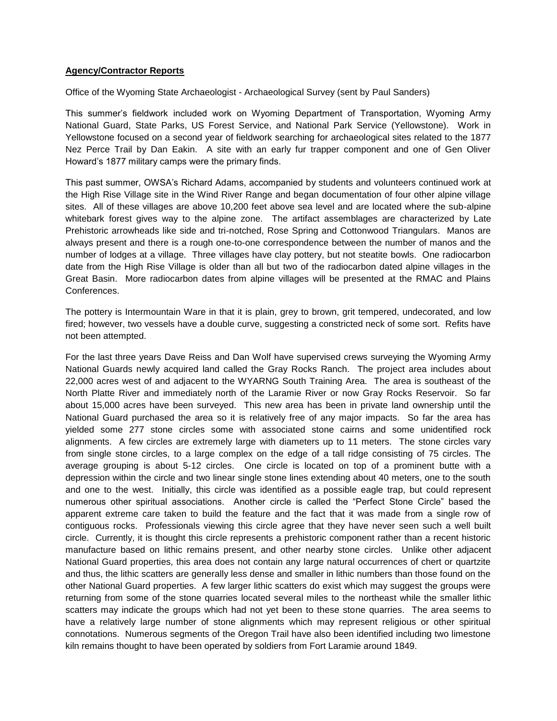## **Agency/Contractor Reports**

Office of the Wyoming State Archaeologist - Archaeological Survey (sent by Paul Sanders)

This summer"s fieldwork included work on Wyoming Department of Transportation, Wyoming Army National Guard, State Parks, US Forest Service, and National Park Service (Yellowstone). Work in Yellowstone focused on a second year of fieldwork searching for archaeological sites related to the 1877 Nez Perce Trail by Dan Eakin. A site with an early fur trapper component and one of Gen Oliver Howard"s 1877 military camps were the primary finds.

This past summer, OWSA"s Richard Adams, accompanied by students and volunteers continued work at the High Rise Village site in the Wind River Range and began documentation of four other alpine village sites. All of these villages are above 10,200 feet above sea level and are located where the sub-alpine whitebark forest gives way to the alpine zone. The artifact assemblages are characterized by Late Prehistoric arrowheads like side and tri-notched, Rose Spring and Cottonwood Triangulars. Manos are always present and there is a rough one-to-one correspondence between the number of manos and the number of lodges at a village. Three villages have clay pottery, but not steatite bowls. One radiocarbon date from the High Rise Village is older than all but two of the radiocarbon dated alpine villages in the Great Basin. More radiocarbon dates from alpine villages will be presented at the RMAC and Plains Conferences.

The pottery is Intermountain Ware in that it is plain, grey to brown, grit tempered, undecorated, and low fired; however, two vessels have a double curve, suggesting a constricted neck of some sort. Refits have not been attempted.

For the last three years Dave Reiss and Dan Wolf have supervised crews surveying the Wyoming Army National Guards newly acquired land called the Gray Rocks Ranch. The project area includes about 22,000 acres west of and adjacent to the WYARNG South Training Area. The area is southeast of the North Platte River and immediately north of the Laramie River or now Gray Rocks Reservoir. So far about 15,000 acres have been surveyed. This new area has been in private land ownership until the National Guard purchased the area so it is relatively free of any major impacts. So far the area has yielded some 277 stone circles some with associated stone cairns and some unidentified rock alignments. A few circles are extremely large with diameters up to 11 meters. The stone circles vary from single stone circles, to a large complex on the edge of a tall ridge consisting of 75 circles. The average grouping is about 5-12 circles. One circle is located on top of a prominent butte with a depression within the circle and two linear single stone lines extending about 40 meters, one to the south and one to the west. Initially, this circle was identified as a possible eagle trap, but could represent numerous other spiritual associations. Another circle is called the "Perfect Stone Circle" based the apparent extreme care taken to build the feature and the fact that it was made from a single row of contiguous rocks. Professionals viewing this circle agree that they have never seen such a well built circle. Currently, it is thought this circle represents a prehistoric component rather than a recent historic manufacture based on lithic remains present, and other nearby stone circles. Unlike other adjacent National Guard properties, this area does not contain any large natural occurrences of chert or quartzite and thus, the lithic scatters are generally less dense and smaller in lithic numbers than those found on the other National Guard properties. A few larger lithic scatters do exist which may suggest the groups were returning from some of the stone quarries located several miles to the northeast while the smaller lithic scatters may indicate the groups which had not yet been to these stone quarries. The area seems to have a relatively large number of stone alignments which may represent religious or other spiritual connotations. Numerous segments of the Oregon Trail have also been identified including two limestone kiln remains thought to have been operated by soldiers from Fort Laramie around 1849.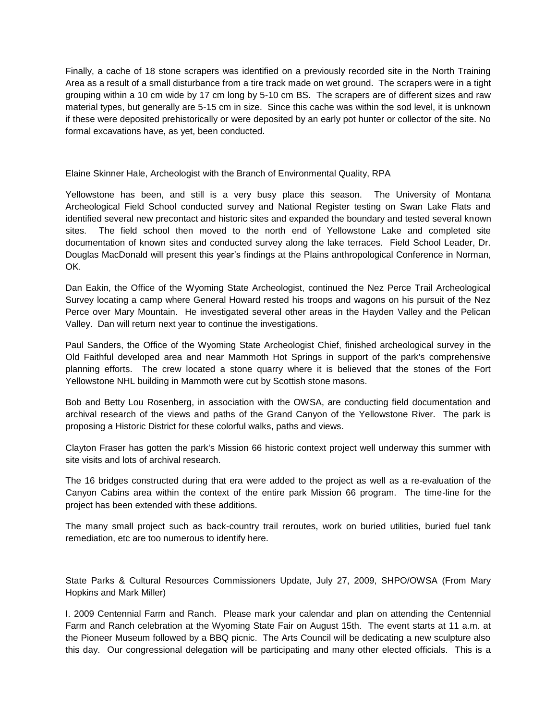Finally, a cache of 18 stone scrapers was identified on a previously recorded site in the North Training Area as a result of a small disturbance from a tire track made on wet ground. The scrapers were in a tight grouping within a 10 cm wide by 17 cm long by 5-10 cm BS. The scrapers are of different sizes and raw material types, but generally are 5-15 cm in size. Since this cache was within the sod level, it is unknown if these were deposited prehistorically or were deposited by an early pot hunter or collector of the site. No formal excavations have, as yet, been conducted.

Elaine Skinner Hale, Archeologist with the Branch of Environmental Quality, RPA

Yellowstone has been, and still is a very busy place this season. The University of Montana Archeological Field School conducted survey and National Register testing on Swan Lake Flats and identified several new precontact and historic sites and expanded the boundary and tested several known sites. The field school then moved to the north end of Yellowstone Lake and completed site documentation of known sites and conducted survey along the lake terraces. Field School Leader, Dr. Douglas MacDonald will present this year"s findings at the Plains anthropological Conference in Norman, OK.

Dan Eakin, the Office of the Wyoming State Archeologist, continued the Nez Perce Trail Archeological Survey locating a camp where General Howard rested his troops and wagons on his pursuit of the Nez Perce over Mary Mountain. He investigated several other areas in the Hayden Valley and the Pelican Valley. Dan will return next year to continue the investigations.

Paul Sanders, the Office of the Wyoming State Archeologist Chief, finished archeological survey in the Old Faithful developed area and near Mammoth Hot Springs in support of the park's comprehensive planning efforts. The crew located a stone quarry where it is believed that the stones of the Fort Yellowstone NHL building in Mammoth were cut by Scottish stone masons.

Bob and Betty Lou Rosenberg, in association with the OWSA, are conducting field documentation and archival research of the views and paths of the Grand Canyon of the Yellowstone River. The park is proposing a Historic District for these colorful walks, paths and views.

Clayton Fraser has gotten the park's Mission 66 historic context project well underway this summer with site visits and lots of archival research.

The 16 bridges constructed during that era were added to the project as well as a re-evaluation of the Canyon Cabins area within the context of the entire park Mission 66 program. The time-line for the project has been extended with these additions.

The many small project such as back-country trail reroutes, work on buried utilities, buried fuel tank remediation, etc are too numerous to identify here.

State Parks & Cultural Resources Commissioners Update, July 27, 2009, SHPO/OWSA (From Mary Hopkins and Mark Miller)

I. 2009 Centennial Farm and Ranch. Please mark your calendar and plan on attending the Centennial Farm and Ranch celebration at the Wyoming State Fair on August 15th. The event starts at 11 a.m. at the Pioneer Museum followed by a BBQ picnic. The Arts Council will be dedicating a new sculpture also this day. Our congressional delegation will be participating and many other elected officials. This is a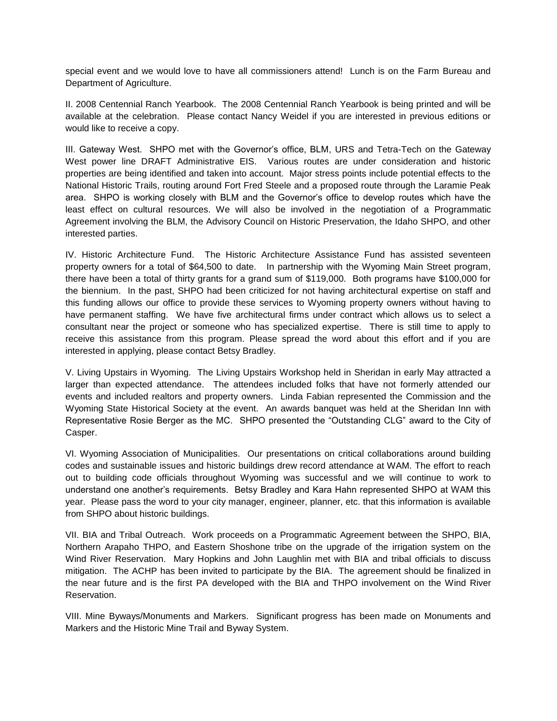special event and we would love to have all commissioners attend! Lunch is on the Farm Bureau and Department of Agriculture.

II. 2008 Centennial Ranch Yearbook. The 2008 Centennial Ranch Yearbook is being printed and will be available at the celebration. Please contact Nancy Weidel if you are interested in previous editions or would like to receive a copy.

III. Gateway West. SHPO met with the Governor's office, BLM, URS and Tetra-Tech on the Gateway West power line DRAFT Administrative EIS. Various routes are under consideration and historic properties are being identified and taken into account. Major stress points include potential effects to the National Historic Trails, routing around Fort Fred Steele and a proposed route through the Laramie Peak area. SHPO is working closely with BLM and the Governor"s office to develop routes which have the least effect on cultural resources. We will also be involved in the negotiation of a Programmatic Agreement involving the BLM, the Advisory Council on Historic Preservation, the Idaho SHPO, and other interested parties.

IV. Historic Architecture Fund. The Historic Architecture Assistance Fund has assisted seventeen property owners for a total of \$64,500 to date. In partnership with the Wyoming Main Street program, there have been a total of thirty grants for a grand sum of \$119,000. Both programs have \$100,000 for the biennium. In the past, SHPO had been criticized for not having architectural expertise on staff and this funding allows our office to provide these services to Wyoming property owners without having to have permanent staffing. We have five architectural firms under contract which allows us to select a consultant near the project or someone who has specialized expertise. There is still time to apply to receive this assistance from this program. Please spread the word about this effort and if you are interested in applying, please contact Betsy Bradley.

V. Living Upstairs in Wyoming. The Living Upstairs Workshop held in Sheridan in early May attracted a larger than expected attendance. The attendees included folks that have not formerly attended our events and included realtors and property owners. Linda Fabian represented the Commission and the Wyoming State Historical Society at the event. An awards banquet was held at the Sheridan Inn with Representative Rosie Berger as the MC. SHPO presented the "Outstanding CLG" award to the City of Casper.

VI. Wyoming Association of Municipalities. Our presentations on critical collaborations around building codes and sustainable issues and historic buildings drew record attendance at WAM. The effort to reach out to building code officials throughout Wyoming was successful and we will continue to work to understand one another"s requirements. Betsy Bradley and Kara Hahn represented SHPO at WAM this year. Please pass the word to your city manager, engineer, planner, etc. that this information is available from SHPO about historic buildings.

VII. BIA and Tribal Outreach. Work proceeds on a Programmatic Agreement between the SHPO, BIA, Northern Arapaho THPO, and Eastern Shoshone tribe on the upgrade of the irrigation system on the Wind River Reservation. Mary Hopkins and John Laughlin met with BIA and tribal officials to discuss mitigation. The ACHP has been invited to participate by the BIA. The agreement should be finalized in the near future and is the first PA developed with the BIA and THPO involvement on the Wind River Reservation.

VIII. Mine Byways/Monuments and Markers. Significant progress has been made on Monuments and Markers and the Historic Mine Trail and Byway System.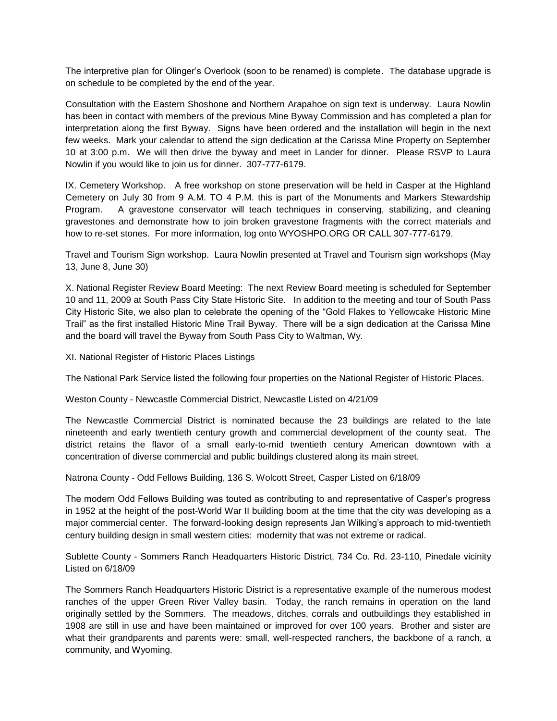The interpretive plan for Olinger"s Overlook (soon to be renamed) is complete. The database upgrade is on schedule to be completed by the end of the year.

Consultation with the Eastern Shoshone and Northern Arapahoe on sign text is underway. Laura Nowlin has been in contact with members of the previous Mine Byway Commission and has completed a plan for interpretation along the first Byway. Signs have been ordered and the installation will begin in the next few weeks. Mark your calendar to attend the sign dedication at the Carissa Mine Property on September 10 at 3:00 p.m. We will then drive the byway and meet in Lander for dinner. Please RSVP to Laura Nowlin if you would like to join us for dinner. 307-777-6179.

IX. Cemetery Workshop. A free workshop on stone preservation will be held in Casper at the Highland Cemetery on July 30 from 9 A.M. TO 4 P.M. this is part of the Monuments and Markers Stewardship Program. A gravestone conservator will teach techniques in conserving, stabilizing, and cleaning gravestones and demonstrate how to join broken gravestone fragments with the correct materials and how to re-set stones. For more information, log onto WYOSHPO.ORG OR CALL 307-777-6179.

Travel and Tourism Sign workshop. Laura Nowlin presented at Travel and Tourism sign workshops (May 13, June 8, June 30)

X. National Register Review Board Meeting: The next Review Board meeting is scheduled for September 10 and 11, 2009 at South Pass City State Historic Site. In addition to the meeting and tour of South Pass City Historic Site, we also plan to celebrate the opening of the "Gold Flakes to Yellowcake Historic Mine Trail" as the first installed Historic Mine Trail Byway. There will be a sign dedication at the Carissa Mine and the board will travel the Byway from South Pass City to Waltman, Wy.

XI. National Register of Historic Places Listings

The National Park Service listed the following four properties on the National Register of Historic Places.

Weston County - Newcastle Commercial District, Newcastle Listed on 4/21/09

The Newcastle Commercial District is nominated because the 23 buildings are related to the late nineteenth and early twentieth century growth and commercial development of the county seat. The district retains the flavor of a small early-to-mid twentieth century American downtown with a concentration of diverse commercial and public buildings clustered along its main street.

Natrona County - Odd Fellows Building, 136 S. Wolcott Street, Casper Listed on 6/18/09

The modern Odd Fellows Building was touted as contributing to and representative of Casper"s progress in 1952 at the height of the post-World War II building boom at the time that the city was developing as a major commercial center. The forward-looking design represents Jan Wilking"s approach to mid-twentieth century building design in small western cities: modernity that was not extreme or radical.

Sublette County - Sommers Ranch Headquarters Historic District, 734 Co. Rd. 23-110, Pinedale vicinity Listed on 6/18/09

The Sommers Ranch Headquarters Historic District is a representative example of the numerous modest ranches of the upper Green River Valley basin. Today, the ranch remains in operation on the land originally settled by the Sommers. The meadows, ditches, corrals and outbuildings they established in 1908 are still in use and have been maintained or improved for over 100 years. Brother and sister are what their grandparents and parents were: small, well-respected ranchers, the backbone of a ranch, a community, and Wyoming.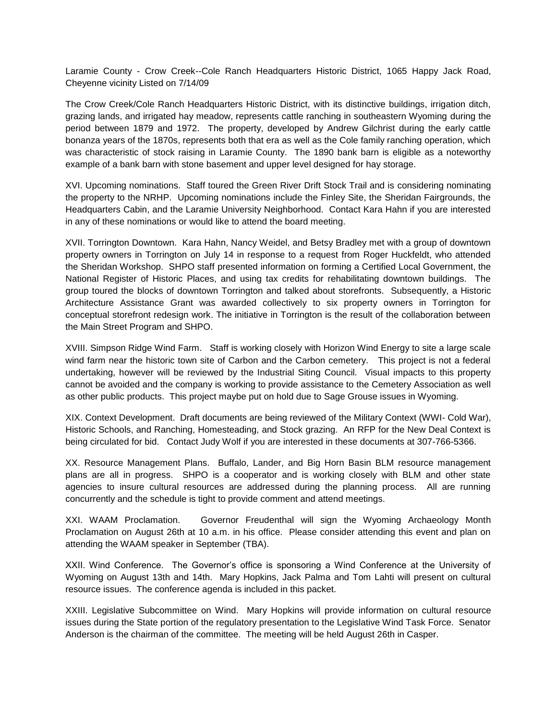Laramie County - Crow Creek--Cole Ranch Headquarters Historic District, 1065 Happy Jack Road, Cheyenne vicinity Listed on 7/14/09

The Crow Creek/Cole Ranch Headquarters Historic District, with its distinctive buildings, irrigation ditch, grazing lands, and irrigated hay meadow, represents cattle ranching in southeastern Wyoming during the period between 1879 and 1972. The property, developed by Andrew Gilchrist during the early cattle bonanza years of the 1870s, represents both that era as well as the Cole family ranching operation, which was characteristic of stock raising in Laramie County. The 1890 bank barn is eligible as a noteworthy example of a bank barn with stone basement and upper level designed for hay storage.

XVI. Upcoming nominations. Staff toured the Green River Drift Stock Trail and is considering nominating the property to the NRHP. Upcoming nominations include the Finley Site, the Sheridan Fairgrounds, the Headquarters Cabin, and the Laramie University Neighborhood. Contact Kara Hahn if you are interested in any of these nominations or would like to attend the board meeting.

XVII. Torrington Downtown. Kara Hahn, Nancy Weidel, and Betsy Bradley met with a group of downtown property owners in Torrington on July 14 in response to a request from Roger Huckfeldt, who attended the Sheridan Workshop. SHPO staff presented information on forming a Certified Local Government, the National Register of Historic Places, and using tax credits for rehabilitating downtown buildings. The group toured the blocks of downtown Torrington and talked about storefronts. Subsequently, a Historic Architecture Assistance Grant was awarded collectively to six property owners in Torrington for conceptual storefront redesign work. The initiative in Torrington is the result of the collaboration between the Main Street Program and SHPO.

XVIII. Simpson Ridge Wind Farm. Staff is working closely with Horizon Wind Energy to site a large scale wind farm near the historic town site of Carbon and the Carbon cemetery. This project is not a federal undertaking, however will be reviewed by the Industrial Siting Council. Visual impacts to this property cannot be avoided and the company is working to provide assistance to the Cemetery Association as well as other public products. This project maybe put on hold due to Sage Grouse issues in Wyoming.

XIX. Context Development. Draft documents are being reviewed of the Military Context (WWI- Cold War), Historic Schools, and Ranching, Homesteading, and Stock grazing. An RFP for the New Deal Context is being circulated for bid. Contact Judy Wolf if you are interested in these documents at 307-766-5366.

XX. Resource Management Plans. Buffalo, Lander, and Big Horn Basin BLM resource management plans are all in progress. SHPO is a cooperator and is working closely with BLM and other state agencies to insure cultural resources are addressed during the planning process. All are running concurrently and the schedule is tight to provide comment and attend meetings.

XXI. WAAM Proclamation. Governor Freudenthal will sign the Wyoming Archaeology Month Proclamation on August 26th at 10 a.m. in his office. Please consider attending this event and plan on attending the WAAM speaker in September (TBA).

XXII. Wind Conference. The Governor"s office is sponsoring a Wind Conference at the University of Wyoming on August 13th and 14th. Mary Hopkins, Jack Palma and Tom Lahti will present on cultural resource issues. The conference agenda is included in this packet.

XXIII. Legislative Subcommittee on Wind. Mary Hopkins will provide information on cultural resource issues during the State portion of the regulatory presentation to the Legislative Wind Task Force. Senator Anderson is the chairman of the committee. The meeting will be held August 26th in Casper.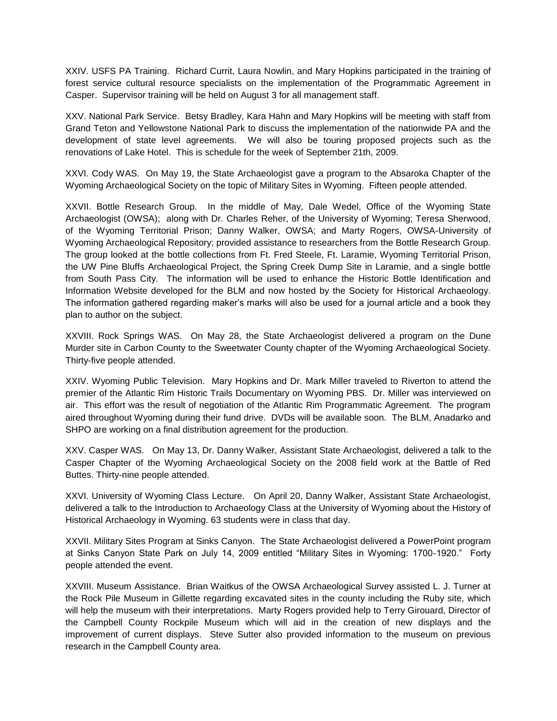XXIV. USFS PA Training. Richard Currit, Laura Nowlin, and Mary Hopkins participated in the training of forest service cultural resource specialists on the implementation of the Programmatic Agreement in Casper. Supervisor training will be held on August 3 for all management staff.

XXV. National Park Service. Betsy Bradley, Kara Hahn and Mary Hopkins will be meeting with staff from Grand Teton and Yellowstone National Park to discuss the implementation of the nationwide PA and the development of state level agreements. We will also be touring proposed projects such as the renovations of Lake Hotel. This is schedule for the week of September 21th, 2009.

XXVI. Cody WAS. On May 19, the State Archaeologist gave a program to the Absaroka Chapter of the Wyoming Archaeological Society on the topic of Military Sites in Wyoming. Fifteen people attended.

XXVII. Bottle Research Group. In the middle of May, Dale Wedel, Office of the Wyoming State Archaeologist (OWSA); along with Dr. Charles Reher, of the University of Wyoming; Teresa Sherwood, of the Wyoming Territorial Prison; Danny Walker, OWSA; and Marty Rogers, OWSA-University of Wyoming Archaeological Repository; provided assistance to researchers from the Bottle Research Group. The group looked at the bottle collections from Ft. Fred Steele, Ft. Laramie, Wyoming Territorial Prison, the UW Pine Bluffs Archaeological Project, the Spring Creek Dump Site in Laramie, and a single bottle from South Pass City. The information will be used to enhance the Historic Bottle Identification and Information Website developed for the BLM and now hosted by the Society for Historical Archaeology. The information gathered regarding maker"s marks will also be used for a journal article and a book they plan to author on the subject.

XXVIII. Rock Springs WAS. On May 28, the State Archaeologist delivered a program on the Dune Murder site in Carbon County to the Sweetwater County chapter of the Wyoming Archaeological Society. Thirty-five people attended.

XXIV. Wyoming Public Television. Mary Hopkins and Dr. Mark Miller traveled to Riverton to attend the premier of the Atlantic Rim Historic Trails Documentary on Wyoming PBS. Dr. Miller was interviewed on air. This effort was the result of negotiation of the Atlantic Rim Programmatic Agreement. The program aired throughout Wyoming during their fund drive. DVDs will be available soon. The BLM, Anadarko and SHPO are working on a final distribution agreement for the production.

XXV. Casper WAS. On May 13, Dr. Danny Walker, Assistant State Archaeologist, delivered a talk to the Casper Chapter of the Wyoming Archaeological Society on the 2008 field work at the Battle of Red Buttes. Thirty-nine people attended.

XXVI. University of Wyoming Class Lecture. On April 20, Danny Walker, Assistant State Archaeologist, delivered a talk to the Introduction to Archaeology Class at the University of Wyoming about the History of Historical Archaeology in Wyoming. 63 students were in class that day.

XXVII. Military Sites Program at Sinks Canyon. The State Archaeologist delivered a PowerPoint program at Sinks Canyon State Park on July 14, 2009 entitled "Military Sites in Wyoming: 1700-1920." Forty people attended the event.

XXVIII. Museum Assistance. Brian Waitkus of the OWSA Archaeological Survey assisted L. J. Turner at the Rock Pile Museum in Gillette regarding excavated sites in the county including the Ruby site, which will help the museum with their interpretations. Marty Rogers provided help to Terry Girouard, Director of the Campbell County Rockpile Museum which will aid in the creation of new displays and the improvement of current displays. Steve Sutter also provided information to the museum on previous research in the Campbell County area.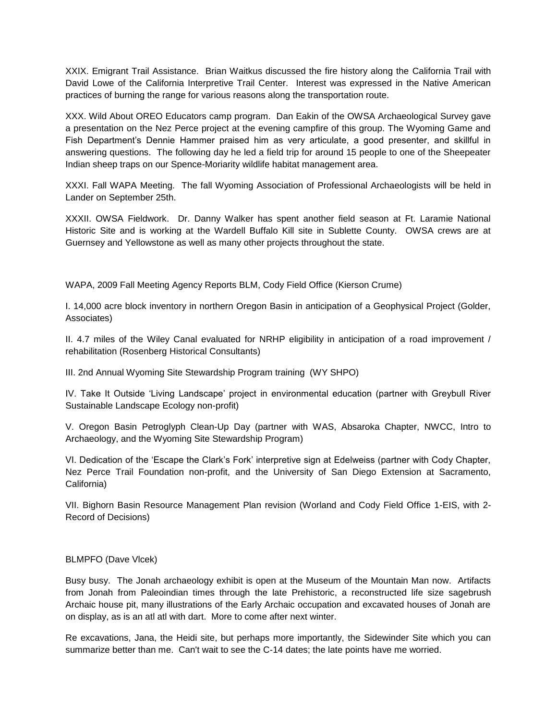XXIX. Emigrant Trail Assistance. Brian Waitkus discussed the fire history along the California Trail with David Lowe of the California Interpretive Trail Center. Interest was expressed in the Native American practices of burning the range for various reasons along the transportation route.

XXX. Wild About OREO Educators camp program. Dan Eakin of the OWSA Archaeological Survey gave a presentation on the Nez Perce project at the evening campfire of this group. The Wyoming Game and Fish Department's Dennie Hammer praised him as very articulate, a good presenter, and skillful in answering questions. The following day he led a field trip for around 15 people to one of the Sheepeater Indian sheep traps on our Spence-Moriarity wildlife habitat management area.

XXXI. Fall WAPA Meeting. The fall Wyoming Association of Professional Archaeologists will be held in Lander on September 25th.

XXXII. OWSA Fieldwork. Dr. Danny Walker has spent another field season at Ft. Laramie National Historic Site and is working at the Wardell Buffalo Kill site in Sublette County. OWSA crews are at Guernsey and Yellowstone as well as many other projects throughout the state.

WAPA, 2009 Fall Meeting Agency Reports BLM, Cody Field Office (Kierson Crume)

I. 14,000 acre block inventory in northern Oregon Basin in anticipation of a Geophysical Project (Golder, Associates)

II. 4.7 miles of the Wiley Canal evaluated for NRHP eligibility in anticipation of a road improvement / rehabilitation (Rosenberg Historical Consultants)

III. 2nd Annual Wyoming Site Stewardship Program training (WY SHPO)

IV. Take It Outside "Living Landscape" project in environmental education (partner with Greybull River Sustainable Landscape Ecology non-profit)

V. Oregon Basin Petroglyph Clean-Up Day (partner with WAS, Absaroka Chapter, NWCC, Intro to Archaeology, and the Wyoming Site Stewardship Program)

VI. Dedication of the "Escape the Clark"s Fork" interpretive sign at Edelweiss (partner with Cody Chapter, Nez Perce Trail Foundation non-profit, and the University of San Diego Extension at Sacramento, California)

VII. Bighorn Basin Resource Management Plan revision (Worland and Cody Field Office 1-EIS, with 2- Record of Decisions)

## BLMPFO (Dave Vlcek)

Busy busy. The Jonah archaeology exhibit is open at the Museum of the Mountain Man now. Artifacts from Jonah from Paleoindian times through the late Prehistoric, a reconstructed life size sagebrush Archaic house pit, many illustrations of the Early Archaic occupation and excavated houses of Jonah are on display, as is an atl atl with dart. More to come after next winter.

Re excavations, Jana, the Heidi site, but perhaps more importantly, the Sidewinder Site which you can summarize better than me. Can't wait to see the C-14 dates; the late points have me worried.